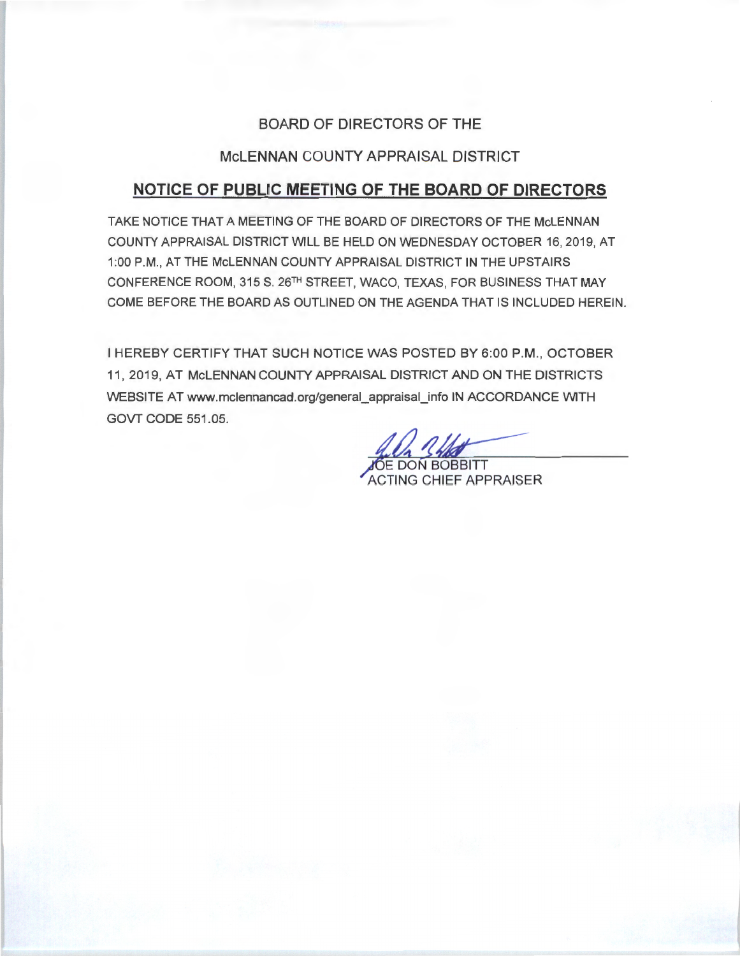## BOARD OF DIRECTORS OF THE

## McLENNAN COUNTY APPRAISAL DISTRICT

# **NOTICE OF PUBLIC MEETING OF THE BOARD OF DIRECTORS**

TAKE NOTICE THAT A MEETING OF THE BOARD OF DIRECTORS OF THE McLENNAN COUNTY APPRAISAL DISTRICT WILL BE HELD ON WEDNESDAY OCTOBER 16, 2019, AT 1:00 P.M., AT THE McLENNAN COUNTY APPRAISAL DISTRICT IN THE UPSTAIRS CONFERENCE ROOM, 315 S. 26TH STREET, WACO, TEXAS, FOR BUSINESS THAT MAY COME BEFORE THE BOARD AS OUTLINED ON THE AGENDA THAT IS INCLUDED HEREIN.

I HEREBY CERTIFY THAT SUCH NOTICE WAS POSTED BY 6:00 P.M., OCTOBER 11 , 2019, AT McLENNAN COUNTY APPRAISAL DISTRICT AND ON THE DISTRICTS WEBSITE AT www.mclennancad.org/general\_appraisal\_info IN ACCORDANCE WITH GOVT CODE 551.05.

**ÓE DON BOBBITT** 

ACTING CHIEF APPRAISER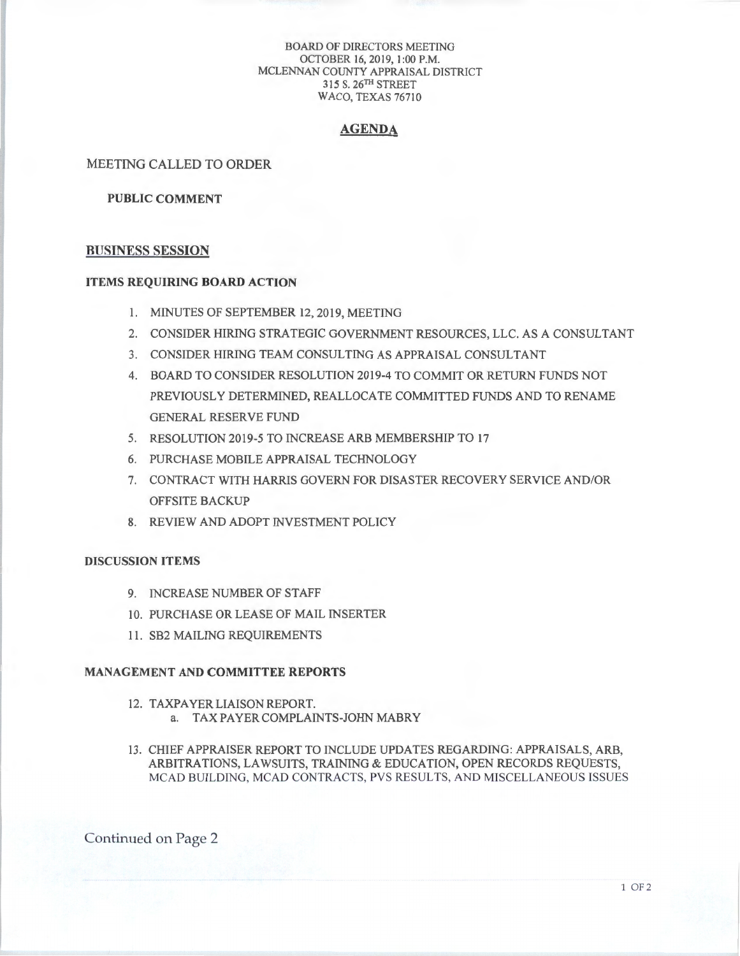#### BOARD OF DIRECTORS MEETING OCTOBER 16, 2019, 1:00 P.M. MCLENNAN COUNTY APPRAISAL DISTRICT 3 15 S. 26TH STREET WACO, TEXAS 76710

#### **AGENDA**

#### MEETING CALLED TO ORDER

#### **PUBLIC COMMENT**

#### **BUSINESS SESSION**

## **ITEMS REQUIRING BOARD ACTION**

- I. MINUTES OF SEPTEMBER 12, 2019, MEETING
- 2. CONSIDER HIRING STRATEGIC GOVERNMENT RESOURCES, LLC. AS A CONSULTANT
- 3. CONSIDER HIRING TEAM CONSULTING AS APPRAISAL CONSULTANT
- 4. BOARD TO CONSIDER RESOLUTION 20 19-4 TO COMMIT OR RETURN FUNDS NOT PREVIOUSLY DETERMINED, REALLOCATE COMMITTED FUNDS AND TO RENAME GENERAL RESERVE FUND
- 5. RESOLUTION 2019-5 TO INCREASE ARB MEMBERSHIP TO 17
- 6. PURCHASE MOBILE APPRAISAL TECHNOLOGY
- 7. CONTRACT WITH HARRIS GOVERN FOR DISASTER RECOVERY SERVICE AND/OR OFFSITE BACKUP
- 8. REVIEW AND ADOPT INVESTMENT POLICY

#### **DISCUSSION ITEMS**

- 9. INCREASE NUMBER OF STAFF
- 10. PURCHASE OR LEASE OF MAIL INSERTER
- 11. SB2 MAILING REQUIREMENTS

## **MANAGEMENT AND COMMITTEE REPORTS**

- 12. TAXPAYERLIAISONREPORT. a. TAXPAYERCOMPLAINTS-JOHN MABRY
- 13. CHIEF APPRAISER REPORT TO INCLUDE UPDATES REGARDING: APPRAISALS, ARB, ARBITRATIONS, LAWSUITS, TRAINING & EDUCATION, OPEN RECORDS REQUESTS, MCAD BUILDING, MCAD CONTRACTS, PVS RESULTS, AND MISCELLANEOUS ISSUES

Continued on Page 2